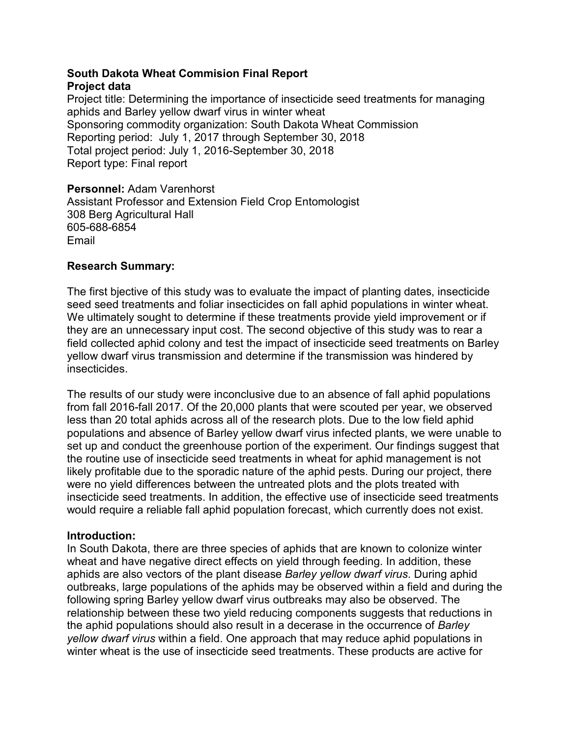#### South Dakota Wheat Commision Final Report Project data

Project title: Determining the importance of insecticide seed treatments for managing aphids and Barley yellow dwarf virus in winter wheat Sponsoring commodity organization: South Dakota Wheat Commission<br>Reporting period: July 1, 2017 through September 30, 2018 South Dakota Wheat Commision Final Report<br>Project data<br>Project title: Determining the importance of insecticide seed treatments for mana<br>aphids and Barley yellow dwarf virus in winter wheat<br>Sponsoring commodity organizatio Total project period: July 1, 2016-September 30, 2018 Report type: Final report South Dakota Wheat Commision Final Report<br>Project data<br>Project dite: Determining the importance of insecticide seed treatments for managing<br>aphids and Barley yellow dwarf virus in winter wheat<br>Sponsoring commodity organiza

Personnel: Adam Varenhorst Assistant Professor and Extension Field Crop Entomologist 308 Berg Agricultural Hall 605-688-6854 Email

### Research Summary:

seed seed treatments and foliar insecticides on fall aphid populations in winter wheat. We ultimately sought to determine if these treatments provide yield improvement or if they are an unnecessary input cost. The second objective of this study was to rear a field collected aphid colony and test the impact of insecticide seed treatments on Barley yellow dwarf virus transmission and determine if the transmission was hindered by insecticides.

The results of our study were inconclusive due to an absence of fall aphid populations from fall 2016-fall 2017. Of the 20,000 plants that were scouted per year, we observed less than 20 total aphids across all of the research plots. Due to the low field aphid populations and absence of Barley yellow dwarf virus infected plants, we were unable to set up and conduct the greenhouse portion of the experiment. Our findings suggest that the routine use of insecticide seed treatments in wheat for aphid management is not likely profitable due to the sporadic nature of the aphid pests. During our project, there were no yield differences between the untreated plots and the plots treated with insecticide seed treatments. In addition, the effective use of insecticide seed treatments would require a reliable fall aphid population forecast, which currently does not exist.

### Introduction:

In South Dakota, there are three species of aphids that are known to colonize winter wheat and have negative direct effects on yield through feeding. In addition, these aphids are also vectors of the plant disease Barley yellow dwarf virus. During aphid outbreaks, large populations of the aphids may be observed within a field and during the following spring Barley yellow dwarf virus outbreaks may also be observed. The relationship between these two yield reducing components suggests that reductions in the aphid populations should also result in a decerase in the occurrence of Barley yellow dwarf virus within a field. One approach that may reduce aphid populations in winter wheat is the use of insecticide seed treatments. These products are active for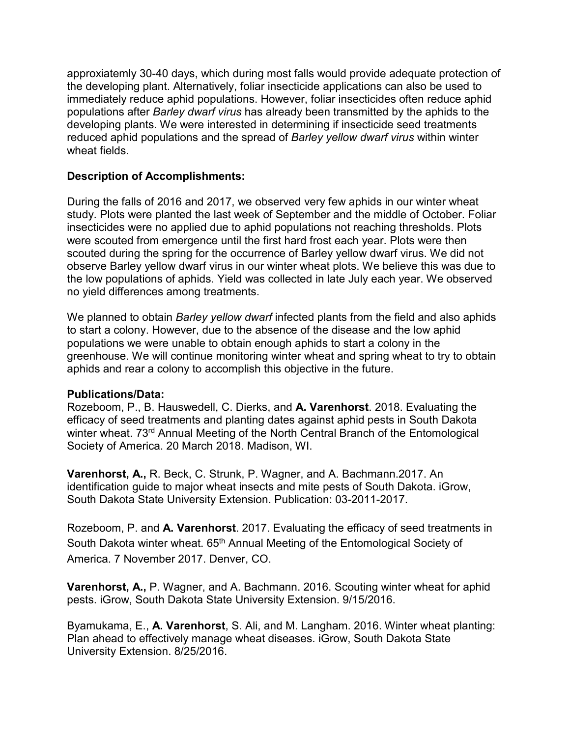approxiatemly 30-40 days, which during most falls would provide adequate protection of the developing plant. Alternatively, foliar insecticide applications can also be used to approxiatemly 30-40 days, which during most falls would provide adequate protection of<br>the developing plant. Alternatively, foliar insecticide applications can also be used to<br>immediately reduce aphid populations. However, populations after Barley dwarf virus has already been transmitted by the aphids to the developing plants. We were interested in determining if insecticide seed treatments reduced aphid populations and the spread of Barley yellow dwarf virus within winter wheat fields. approxiatemly 30-40 days, which during most falls would provide adequate protection of<br>the developing plant. Alternatively, foliar insecticide applications can also be used to<br>immediately reduce aphid populations. However,

# Description of Accomplishments:

study. Plots were planted the last week of September and the middle of October. Foliar approxiatemly 30-40 days, which during most falls would provide adequate protection of<br>the developing plant. Alternatively, foliar insecticide applications can also be used to<br>timmediately reduce aphid populations. However were scouted from emergence until the first hard frost each year. Plots were then scouted during the spring for the occurrence of Barley yellow dwarf virus. We did not observe Barley yellow dwarf virus in our winter wheat plots. We believe this was due to the low populations of aphids. Yield was collected in late July each year. We observed no yield differences among treatments.

We planned to obtain Barley yellow dwarf infected plants from the field and also aphids to start a colony. However, due to the absence of the disease and the low aphid populations we were unable to obtain enough aphids to start a colony in the greenhouse. We will continue monitoring winter wheat and spring wheat to try to obtain aphids and rear a colony to accomplish this objective in the future. is could during the spring for the occurrence of Barley yellow dwarf virus. We did not observe Barley yellow dwarf virus. We did not observe Barley yellow awarf virus in our winter wheat plots. We believe this was due to o

### Publications/Data:

Rozeboom, P., B. Hauswedell, C. Dierks, and A. Varenhorst. 2018. Evaluating the efficacy of seed treatments and planting dates against aphid pests in South Dakota winter wheat. 73<sup>rd</sup> Annual Meeting of the North Central Branch of the Entomological Society of America. 20 March 2018. Madison, WI.

Varenhorst, A., R. Beck, C. Strunk, P. Wagner, and A. Bachmann.2017. An South Dakota State University Extension. Publication: 03-2011-2017.

Rozeboom, P. and A. Varenhorst. 2017. Evaluating the efficacy of seed treatments in South Dakota winter wheat. 65<sup>th</sup> Annual Meeting of the Entomological Society of America. 7 November 2017. Denver, CO.

Varenhorst, A., P. Wagner, and A. Bachmann. 2016. Scouting winter wheat for aphid pests. iGrow, South Dakota State University Extension. 9/15/2016.

Byamukama, E., A. Varenhorst, S. Ali, and M. Langham. 2016. Winter wheat planting: Plan ahead to effectively manage wheat diseases. iGrow, South Dakota State University Extension. 8/25/2016.